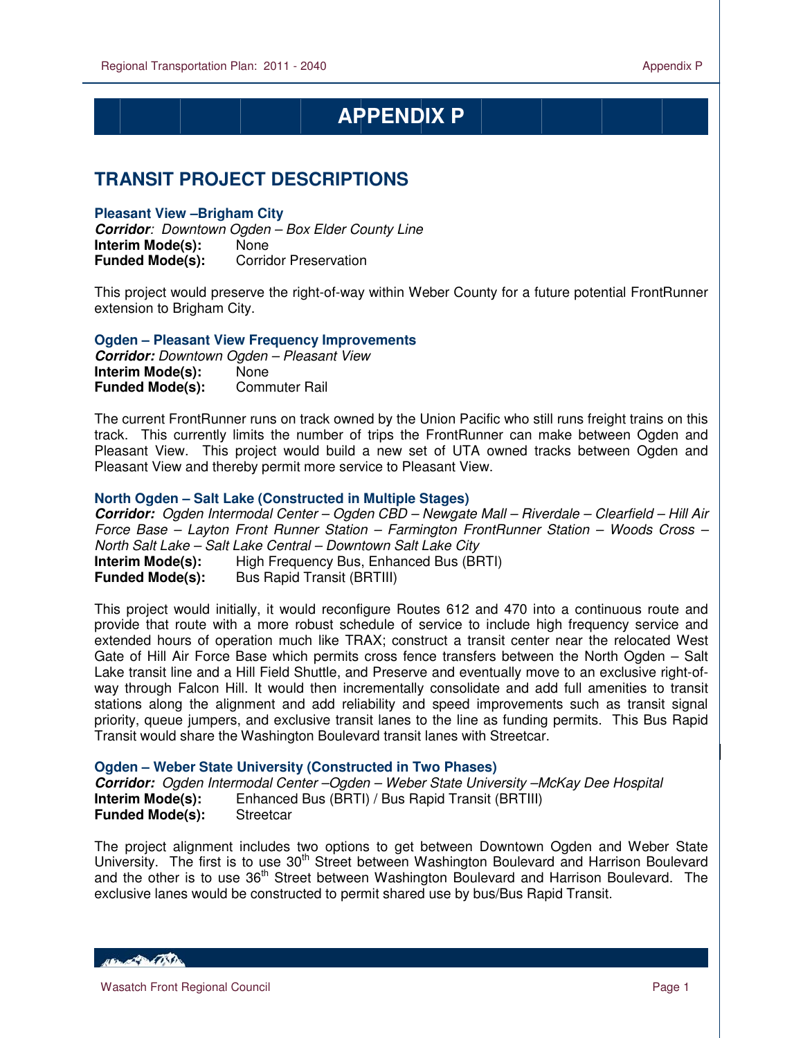# **APPENDIX P**

## **TRANSIT PROJECT DESCRIPTIONS**

## **Pleasant View –Brigham City**

 $\overline{a}$ 

**Corridor**: Downtown Ogden – Box Elder County Line **Interim Mode(s):** None<br>**Funded Mode(s):** Corrid **Corridor Preservation** 

This project would preserve the right-of-way within Weber County for a future potential FrontRunner extension to Brigham City.

**Ogden – Pleasant View Frequency Improvements** 

**Corridor:** Downtown Ogden – Pleasant View **Interim Mode(s): None Funded Mode(s):** Commuter Rail

The current FrontRunner runs on track owned by the Union Pacific who still runs freight trains on this track. This currently limits the number of trips the FrontRunner can make between Ogden and Pleasant View. This project would build a new set of UTA owned tracks between Ogden and Pleasant View and thereby permit more service to Pleasant View.

## **North Ogden – Salt Lake (Constructed in Multiple Stages)**

**Corridor:** Ogden Intermodal Center – Ogden CBD – Newgate Mall – Riverdale – Clearfield – Hill Air Force Base – Layton Front Runner Station – Farmington FrontRunner Station – Woods Cross – North Salt Lake – Salt Lake Central – Downtown Salt Lake City<br>**Interim Mode(s):** High Frequency Bus, Enhanced Bus (BF **Interim Mode Frequency Bus, Enhanced Bus (BRTI) Funded Mode(s):** Bus Rapid Transit (BRTIII)

This project would initially, it would reconfigure Routes 612 and 470 into a continuous route and provide that route with a more robust schedule of service to include high frequency service and extended hours of operation much like TRAX; construct a transit center near the relocated West Gate of Hill Air Force Base which permits cross fence transfers between the North Ogden – Salt Lake transit line and a Hill Field Shuttle, and Preserve and eventually move to an exclusive right-ofway through Falcon Hill. It would then incrementally consolidate and add full amenities to transit stations along the alignment and add reliability and speed improvements such as transit signal priority, queue jumpers, and exclusive transit lanes to the line as funding permits. This Bus Rapid Transit would share the Washington Boulevard transit lanes with Streetcar.

### **Ogden – Weber State University (Constructed in Two Phases)**

**Corridor:** Ogden Intermodal Center –Ogden – Weber State University –McKay Dee Hospital **Interim Mode(s):** Enhanced Bus (BRTI) / Bus Rapid Transit (BRTIII) **Funded Mode(s):** Streetcar

The project alignment includes two options to get between Downtown Ogden and Weber State University. The first is to use 30<sup>th</sup> Street between Washington Boulevard and Harrison Boulevard and the other is to use 36<sup>th</sup> Street between Washington Boulevard and Harrison Boulevard. The exclusive lanes would be constructed to permit shared use by bus/Bus Rapid Transit.

**ARCHAMER CONTENT**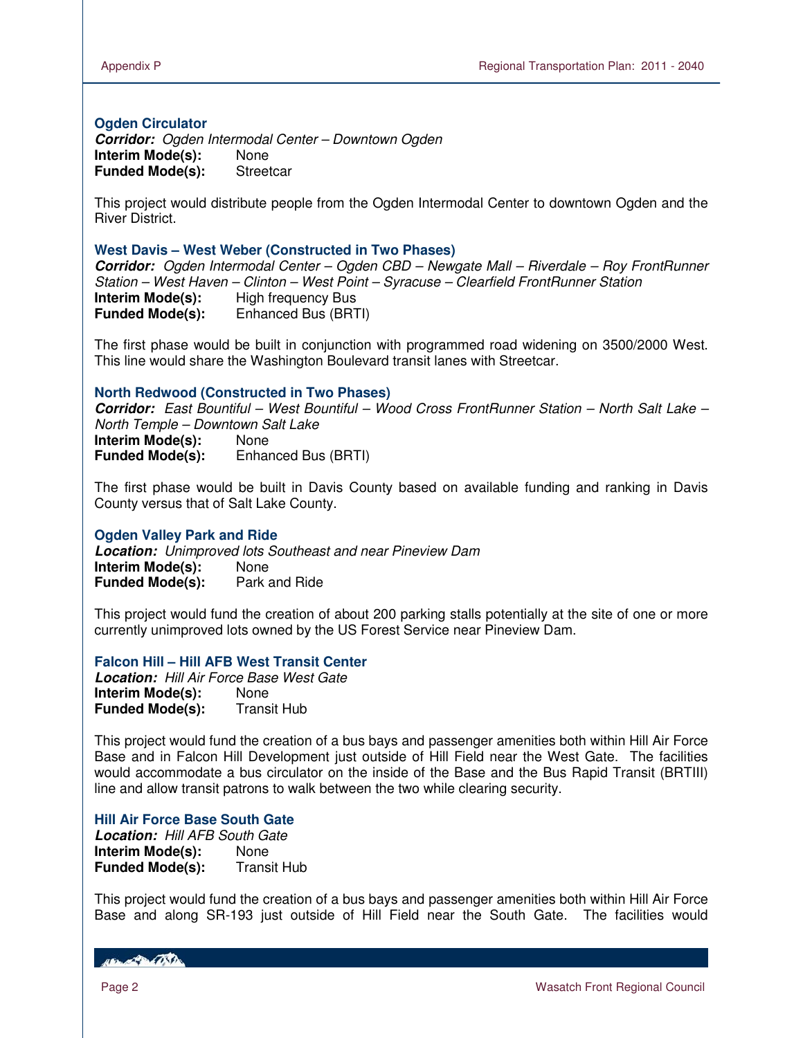## **Ogden Circulator**

**Corridor:** Ogden Intermodal Center – Downtown Ogden **Interim Mode(s):** None **Funded Mode(s):** Streetcar

This project would distribute people from the Ogden Intermodal Center to downtown Ogden and the River District.

#### **West Davis – West Weber (Constructed in Two Phases)**

**Corridor:** Ogden Intermodal Center – Ogden CBD – Newgate Mall – Riverdale – Roy FrontRunner Station – West Haven – Clinton – West Point – Syracuse – Clearfield FrontRunner Station **Interim Mode(s):** High frequency Bus **Funded Mode(s):** Enhanced Bus (BRTI)

The first phase would be built in conjunction with programmed road widening on 3500/2000 West. This line would share the Washington Boulevard transit lanes with Streetcar.

#### **North Redwood (Constructed in Two Phases)**

**Corridor:** East Bountiful – West Bountiful – Wood Cross FrontRunner Station – North Salt Lake – North Temple – Downtown Salt Lake **Interim Mode(s):** None **Funded Mode(s):** Enhanced Bus (BRTI)

The first phase would be built in Davis County based on available funding and ranking in Davis County versus that of Salt Lake County.

### **Ogden Valley Park and Ride**

**Location:** Unimproved lots Southeast and near Pineview Dam **Interim Mode(s):** None **Funded Mode(s):** Park and Ride

This project would fund the creation of about 200 parking stalls potentially at the site of one or more currently unimproved lots owned by the US Forest Service near Pineview Dam.

#### **Falcon Hill – Hill AFB West Transit Center**

**Location:** Hill Air Force Base West Gate **Interim Mode(s):** None **Funded Mode(s):** Transit Hub

This project would fund the creation of a bus bays and passenger amenities both within Hill Air Force Base and in Falcon Hill Development just outside of Hill Field near the West Gate. The facilities would accommodate a bus circulator on the inside of the Base and the Bus Rapid Transit (BRTIII) line and allow transit patrons to walk between the two while clearing security.

#### **Hill Air Force Base South Gate**

**Location:** Hill AFB South Gate **Interim Mode(s):** None<br>**Funded Mode(s):** Transit Hub **Funded Mode(s):** 

This project would fund the creation of a bus bays and passenger amenities both within Hill Air Force Base and along SR-193 just outside of Hill Field near the South Gate. The facilities would

**RECORD POST**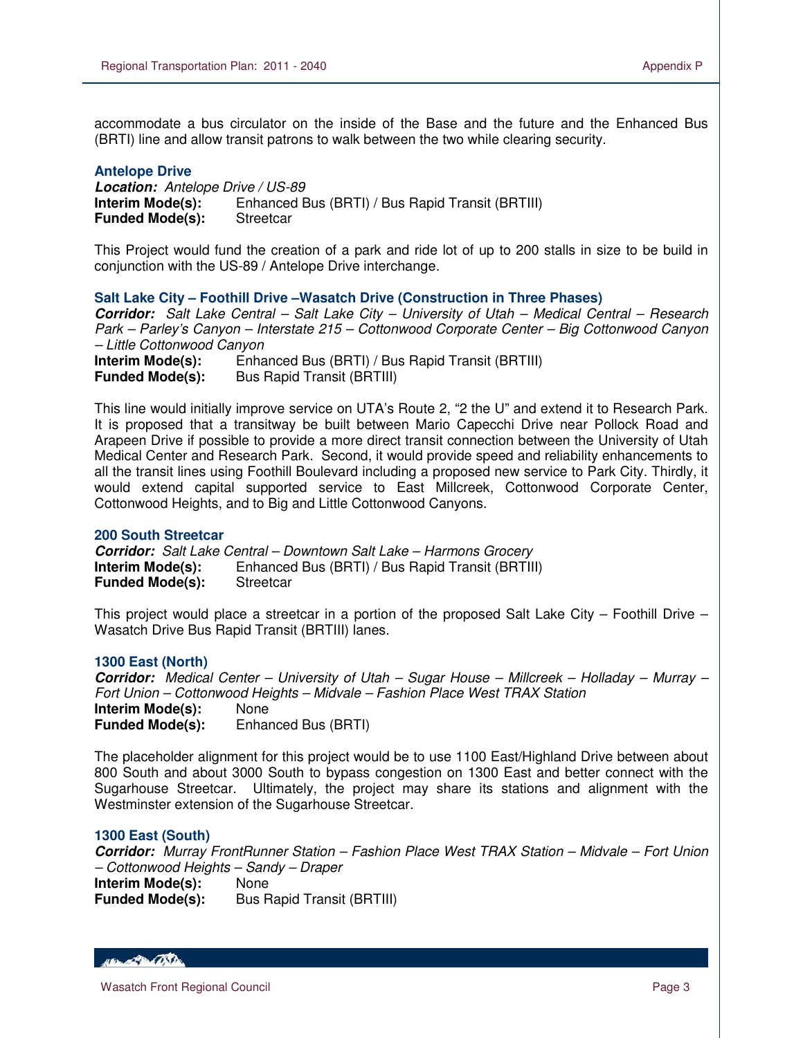accommodate a bus circulator on the inside of the Base and the future and the Enhanced Bus (BRTI) line and allow transit patrons to walk between the two while clearing security.

#### **Antelope Drive**

 $\overline{a}$ 

**Location:** Antelope Drive / US-89 **Interim Mode(s):** Enhanced Bus (BRTI) / Bus Rapid Transit (BRTIII) **Funded Mode(s):** Streetcar

This Project would fund the creation of a park and ride lot of up to 200 stalls in size to be build in conjunction with the US-89 / Antelope Drive interchange.

**Salt Lake City – Foothill Drive –Wasatch Drive (Construction in Three Phases)** 

**Corridor:** Salt Lake Central – Salt Lake City – University of Utah – Medical Central – Research Park – Parley's Canyon – Interstate 215 – Cottonwood Corporate Center – Big Cottonwood Canyon – Little Cottonwood Canyon

**Interim Mode(s):** Enhanced Bus (BRTI) / Bus Rapid Transit (BRTIII) **Funded Mode(s):** Bus Rapid Transit (BRTIII)

This line would initially improve service on UTA's Route 2, "2 the U" and extend it to Research Park. It is proposed that a transitway be built between Mario Capecchi Drive near Pollock Road and Arapeen Drive if possible to provide a more direct transit connection between the University of Utah Medical Center and Research Park. Second, it would provide speed and reliability enhancements to all the transit lines using Foothill Boulevard including a proposed new service to Park City. Thirdly, it would extend capital supported service to East Millcreek, Cottonwood Corporate Center, Cottonwood Heights, and to Big and Little Cottonwood Canyons.

### **200 South Streetcar**

**Corridor:** Salt Lake Central – Downtown Salt Lake – Harmons Grocery **Interim Mode(s):** Enhanced Bus (BRTI) / Bus Rapid Transit (BRTIII) **Funded Mode(s):** Streetcar

This project would place a streetcar in a portion of the proposed Salt Lake City – Foothill Drive – Wasatch Drive Bus Rapid Transit (BRTIII) lanes.

### **1300 East (North)**

**Corridor:** Medical Center – University of Utah – Sugar House – Millcreek – Holladay – Murray – Fort Union – Cottonwood Heights – Midvale – Fashion Place West TRAX Station **Interim Mode(s):** None

**Funded Mode(s):** Enhanced Bus (BRTI)

The placeholder alignment for this project would be to use 1100 East/Highland Drive between about 800 South and about 3000 South to bypass congestion on 1300 East and better connect with the Sugarhouse Streetcar. Ultimately, the project may share its stations and alignment with the Westminster extension of the Sugarhouse Streetcar.

### **1300 East (South)**

**Corridor:** Murray FrontRunner Station – Fashion Place West TRAX Station – Midvale – Fort Union – Cottonwood Heights – Sandy – Draper

**Interim Mode(s):** None **Funded Mode(s):** Bus Rapid Transit (BRTIII)

Henry Contact De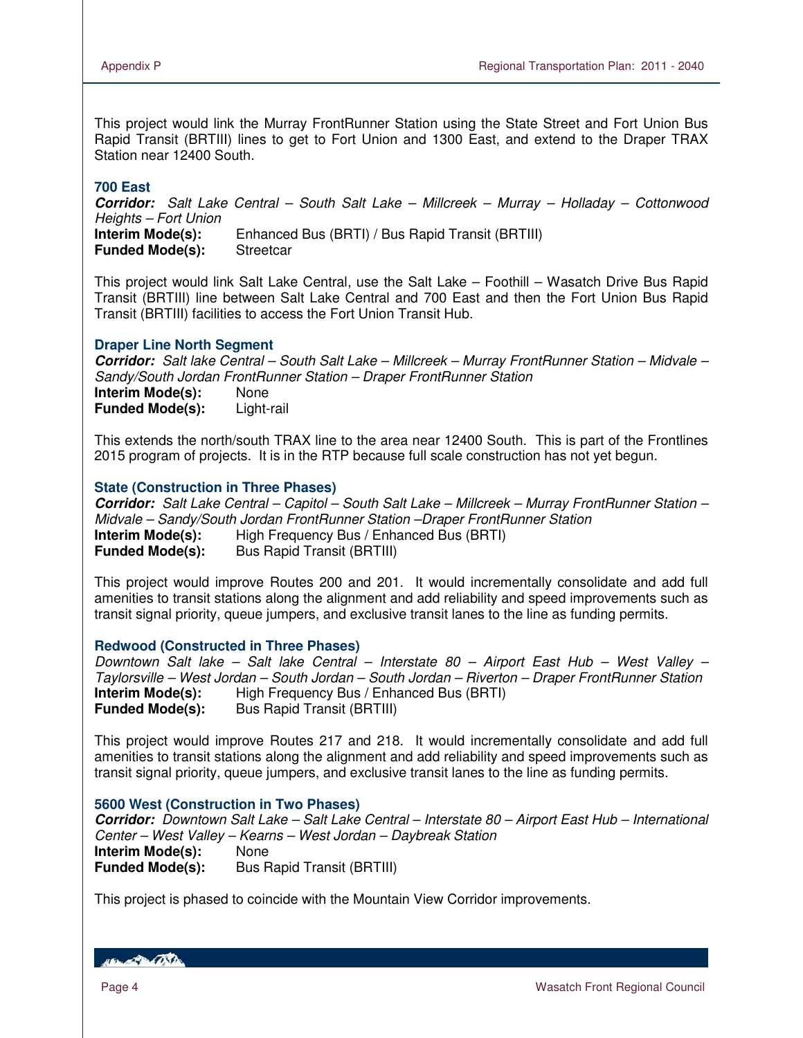This project would link the Murray FrontRunner Station using the State Street and Fort Union Bus Rapid Transit (BRTIII) lines to get to Fort Union and 1300 East, and extend to the Draper TRAX Station near 12400 South.

## **700 East**

**Corridor:** Salt Lake Central – South Salt Lake – Millcreek – Murray – Holladay – Cottonwood Heights – Fort Union **Interim Mode(s):** Enhanced Bus (BRTI) / Bus Rapid Transit (BRTIII) **Funded Mode(s):** Streetcar

This project would link Salt Lake Central, use the Salt Lake – Foothill – Wasatch Drive Bus Rapid Transit (BRTIII) line between Salt Lake Central and 700 East and then the Fort Union Bus Rapid Transit (BRTIII) facilities to access the Fort Union Transit Hub.

## **Draper Line North Segment**

**Corridor:** Salt lake Central – South Salt Lake – Millcreek – Murray FrontRunner Station – Midvale – Sandy/South Jordan FrontRunner Station – Draper FrontRunner Station **Interim Mode(s):** None **Funded Mode(s):** Light-rail

This extends the north/south TRAX line to the area near 12400 South. This is part of the Frontlines 2015 program of projects. It is in the RTP because full scale construction has not yet begun.

## **State (Construction in Three Phases)**

**Corridor:** Salt Lake Central – Capitol – South Salt Lake – Millcreek – Murray FrontRunner Station – Midvale – Sandy/South Jordan FrontRunner Station –Draper FrontRunner Station **Interim Mode(s):** High Frequency Bus / Enhanced Bus (BRTI) **Funded Mode(s):** Bus Rapid Transit (BRTIII)

This project would improve Routes 200 and 201. It would incrementally consolidate and add full amenities to transit stations along the alignment and add reliability and speed improvements such as transit signal priority, queue jumpers, and exclusive transit lanes to the line as funding permits.

### **Redwood (Constructed in Three Phases)**

Downtown Salt lake – Salt lake Central – Interstate 80 – Airport East Hub – West Valley – Taylorsville – West Jordan – South Jordan – South Jordan – Riverton – Draper FrontRunner Station **Interim Mode(s):** High Frequency Bus / Enhanced Bus (BRTI) **Funded Mode(s):** Bus Rapid Transit (BRTIII)

This project would improve Routes 217 and 218. It would incrementally consolidate and add full amenities to transit stations along the alignment and add reliability and speed improvements such as transit signal priority, queue jumpers, and exclusive transit lanes to the line as funding permits.

### **5600 West (Construction in Two Phases)**

**Corridor:** Downtown Salt Lake – Salt Lake Central – Interstate 80 – Airport East Hub – International Center – West Valley – Kearns – West Jordan – Daybreak Station **Interim Mode(s):** None<br>**Funded Mode(s):** Bus R **Bus Rapid Transit (BRTIII)** 

This project is phased to coincide with the Mountain View Corridor improvements.

HELL CONTROL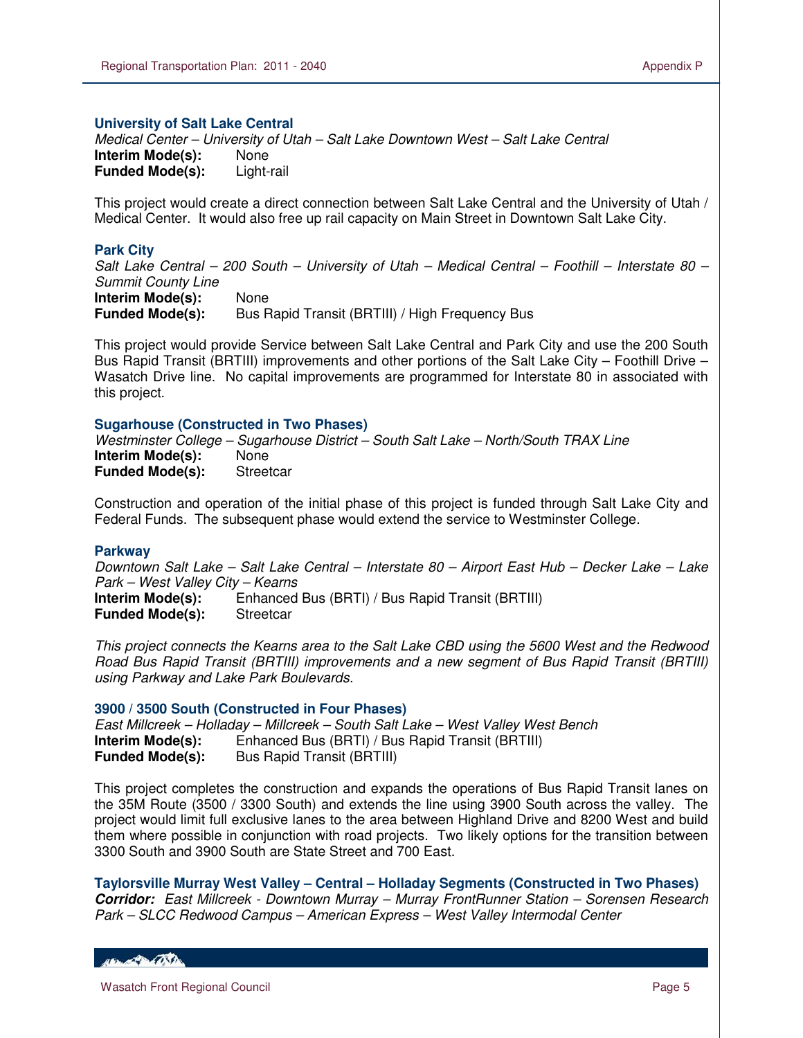Medical Center – University of Utah – Salt Lake Downtown West – Salt Lake Central **Interim Mode(s):** None **Funded Mode(s):** Light-rail

This project would create a direct connection between Salt Lake Central and the University of Utah / Medical Center. It would also free up rail capacity on Main Street in Downtown Salt Lake City.

## **Park City**

 $\overline{a}$ 

Salt Lake Central – 200 South – University of Utah – Medical Central – Foothill – Interstate 80 – Summit County Line

**Interim Mode(s):** None **Funded Mode(s):** Bus Rapid Transit (BRTIII) / High Frequency Bus

This project would provide Service between Salt Lake Central and Park City and use the 200 South Bus Rapid Transit (BRTIII) improvements and other portions of the Salt Lake City – Foothill Drive – Wasatch Drive line. No capital improvements are programmed for Interstate 80 in associated with this project.

### **Sugarhouse (Constructed in Two Phases)**

Westminster College – Sugarhouse District – South Salt Lake – North/South TRAX Line **Interim Mode(s):** None **Funded Mode(s):** Streetcar

Construction and operation of the initial phase of this project is funded through Salt Lake City and Federal Funds. The subsequent phase would extend the service to Westminster College.

### **Parkway**

Downtown Salt Lake – Salt Lake Central – Interstate 80 – Airport East Hub – Decker Lake – Lake Park – West Valley City – Kearns **Interim Mode(s):** Enhanced Bus (BRTI) / Bus Rapid Transit (BRTIII) **Funded Mode(s):** Streetcar

This project connects the Kearns area to the Salt Lake CBD using the 5600 West and the Redwood Road Bus Rapid Transit (BRTIII) improvements and a new segment of Bus Rapid Transit (BRTIII) using Parkway and Lake Park Boulevards.

### **3900 / 3500 South (Constructed in Four Phases)**

East Millcreek – Holladay – Millcreek – South Salt Lake – West Valley West Bench **Interim Mode(s):** Enhanced Bus (BRTI) / Bus Rapid Transit (BRTIII) **Funded Mode(s):** Bus Rapid Transit (BRTIII)

This project completes the construction and expands the operations of Bus Rapid Transit lanes on the 35M Route (3500 / 3300 South) and extends the line using 3900 South across the valley. The project would limit full exclusive lanes to the area between Highland Drive and 8200 West and build them where possible in conjunction with road projects. Two likely options for the transition between 3300 South and 3900 South are State Street and 700 East.

**Taylorsville Murray West Valley – Central – Holladay Segments (Constructed in Two Phases) Corridor:** East Millcreek - Downtown Murray – Murray FrontRunner Station – Sorensen Research Park – SLCC Redwood Campus – American Express – West Valley Intermodal Center

HELL CONTRACTOR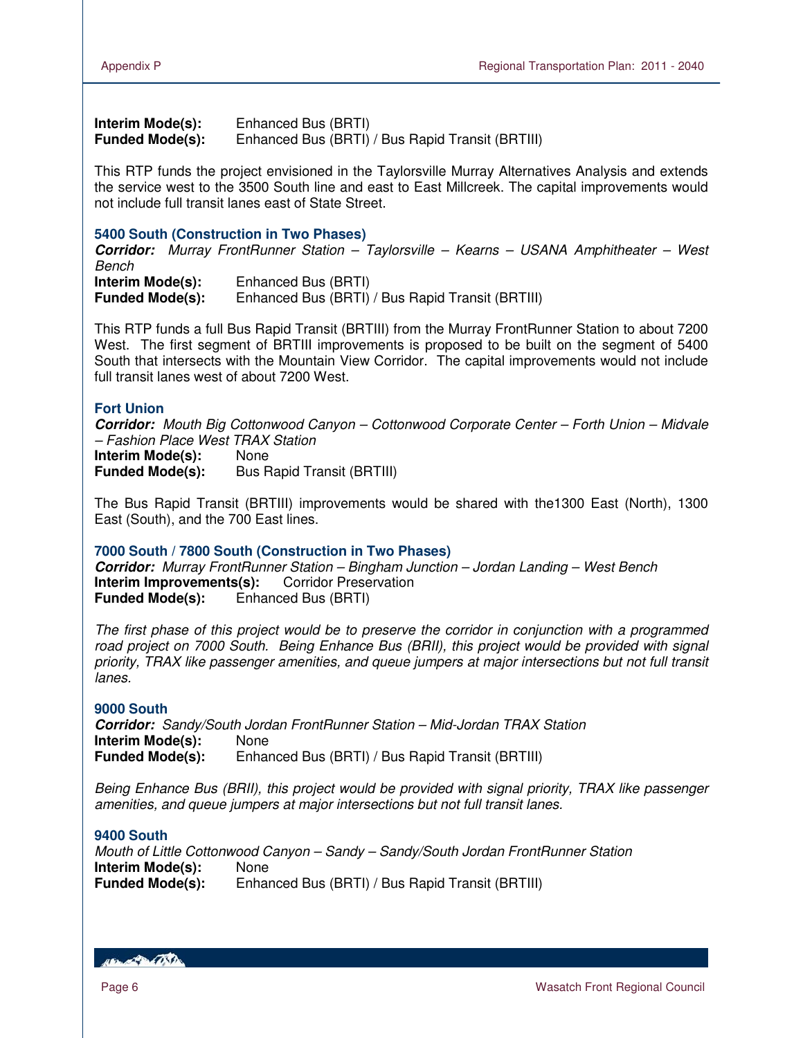**Interim Mode(s):** Enhanced Bus (BRTI) **Funded Mode(s):** Enhanced Bus (BRTI) / Bus Rapid Transit (BRTIII)

This RTP funds the project envisioned in the Taylorsville Murray Alternatives Analysis and extends the service west to the 3500 South line and east to East Millcreek. The capital improvements would not include full transit lanes east of State Street.

### **5400 South (Construction in Two Phases)**

**Corridor:** Murray FrontRunner Station – Taylorsville – Kearns – USANA Amphitheater – West Bench

**Interim Mode(s):** Enhanced Bus (BRTI) **Funded Mode(s):** Enhanced Bus (BRTI) / Bus Rapid Transit (BRTIII)

This RTP funds a full Bus Rapid Transit (BRTIII) from the Murray FrontRunner Station to about 7200 West. The first segment of BRTIII improvements is proposed to be built on the segment of 5400 South that intersects with the Mountain View Corridor. The capital improvements would not include full transit lanes west of about 7200 West.

## **Fort Union**

**Corridor:** Mouth Big Cottonwood Canyon – Cottonwood Corporate Center – Forth Union – Midvale – Fashion Place West TRAX Station

**Interim Mode(s):** None **Funded Mode(s):** Bus Rapid Transit (BRTIII)

The Bus Rapid Transit (BRTIII) improvements would be shared with the1300 East (North), 1300 East (South), and the 700 East lines.

### **7000 South / 7800 South (Construction in Two Phases)**

**Corridor:** Murray FrontRunner Station – Bingham Junction – Jordan Landing – West Bench **Interim Improvements(s):** Corridor Preservation **Funded Mode(s):** Enhanced Bus (BRTI)

The first phase of this project would be to preserve the corridor in conjunction with a programmed road project on 7000 South. Being Enhance Bus (BRII), this project would be provided with signal priority, TRAX like passenger amenities, and queue jumpers at major intersections but not full transit lanes.

### **9000 South**

**Corridor:** Sandy/South Jordan FrontRunner Station – Mid-Jordan TRAX Station **Interim Mode(s):** None **Funded Mode(s):** Enhanced Bus (BRTI) / Bus Rapid Transit (BRTIII)

Being Enhance Bus (BRII), this project would be provided with signal priority, TRAX like passenger amenities, and queue jumpers at major intersections but not full transit lanes.

## **9400 South**

Mouth of Little Cottonwood Canyon – Sandy – Sandy/South Jordan FrontRunner Station **Interim Mode(s):** None **Funded Mode(s):** Enhanced Bus (BRTI) / Bus Rapid Transit (BRTIII)

**RECORD CONTRACTOR**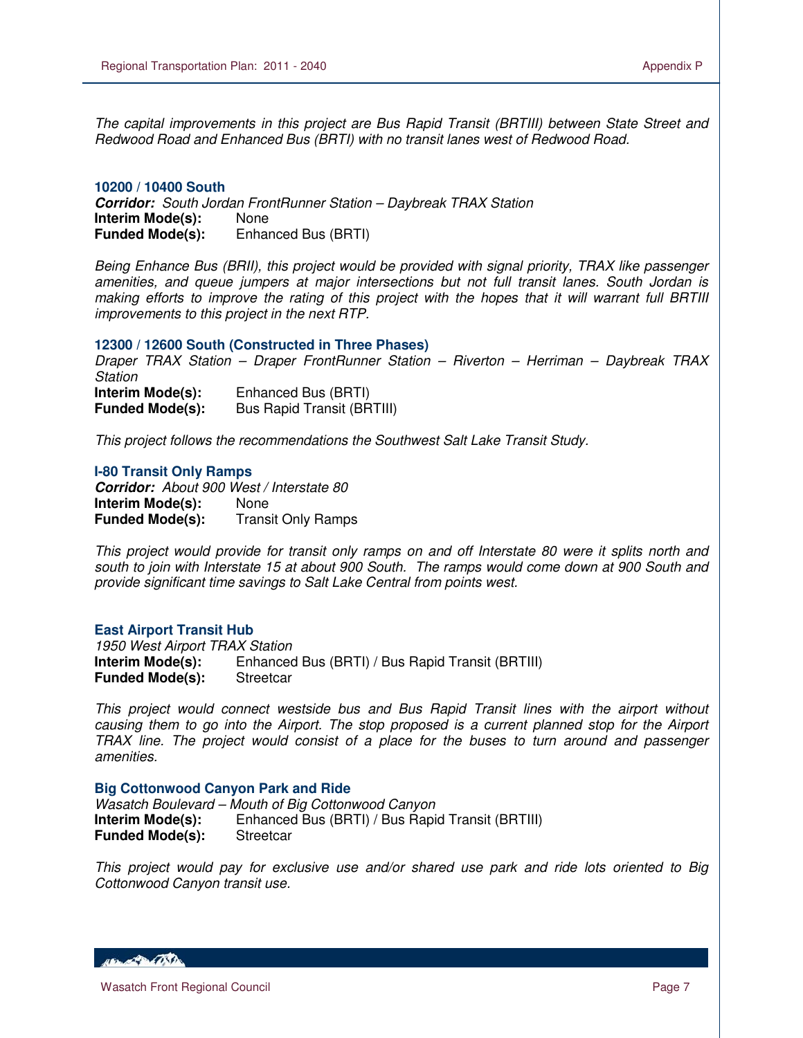The capital improvements in this project are Bus Rapid Transit (BRTIII) between State Street and Redwood Road and Enhanced Bus (BRTI) with no transit lanes west of Redwood Road.

#### **10200 / 10400 South**

 $\overline{a}$ 

**Corridor:** South Jordan FrontRunner Station – Daybreak TRAX Station **Interim Mode(s):** None **Funded Mode(s):** Enhanced Bus (BRTI)

Being Enhance Bus (BRII), this project would be provided with signal priority, TRAX like passenger amenities, and queue jumpers at major intersections but not full transit lanes. South Jordan is making efforts to improve the rating of this project with the hopes that it will warrant full BRTIII improvements to this project in the next RTP.

#### **12300 / 12600 South (Constructed in Three Phases)**

Draper TRAX Station – Draper FrontRunner Station – Riverton – Herriman – Daybreak TRAX **Station Interim Mode(s):** Enhanced Bus (BRTI)<br>**Funded Mode(s):** Bus Rapid Transit (BR **Bus Rapid Transit (BRTIII)** 

This project follows the recommendations the Southwest Salt Lake Transit Study.

#### **I-80 Transit Only Ramps**

**Corridor:** About 900 West / Interstate 80 **Interim Mode(s):** None **Funded Mode(s):** Transit Only Ramps

This project would provide for transit only ramps on and off Interstate 80 were it splits north and south to join with Interstate 15 at about 900 South. The ramps would come down at 900 South and provide significant time savings to Salt Lake Central from points west.

#### **East Airport Transit Hub**

1950 West Airport TRAX Station **Interim Mode(s):** Enhanced Bus (BRTI) / Bus Rapid Transit (BRTIII) **Funded Mode(s):** Streetcar

This project would connect westside bus and Bus Rapid Transit lines with the airport without causing them to go into the Airport. The stop proposed is a current planned stop for the Airport TRAX line. The project would consist of a place for the buses to turn around and passenger amenities.

#### **Big Cottonwood Canyon Park and Ride**

Wasatch Boulevard – Mouth of Big Cottonwood Canyon **Interim Mode(s):** Enhanced Bus (BRTI) / Bus Rapid Transit (BRTIII)<br>**Funded Mode(s):** Streetcar **Funded Mode(s):** 

This project would pay for exclusive use and/or shared use park and ride lots oriented to Big Cottonwood Canyon transit use.

**ABON APPLICATION**